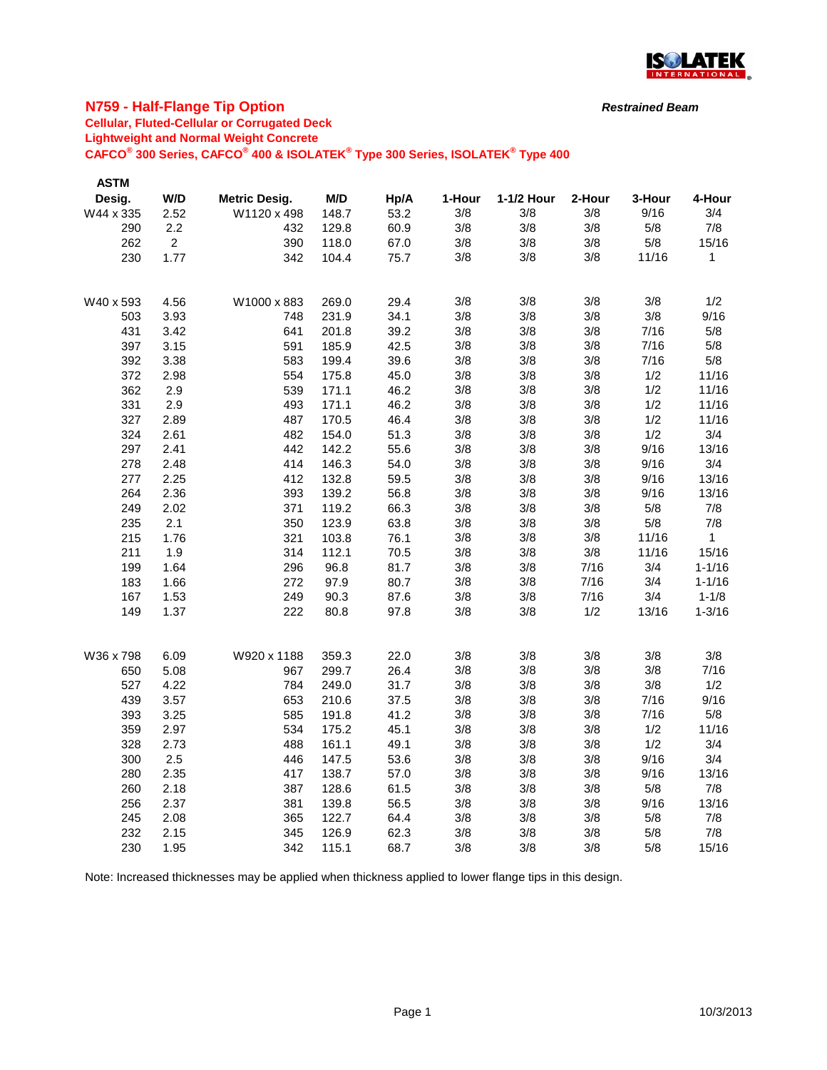

### **N759 - Half-Flange Tip Option**

### **Cellular, Fluted-Cellular or Corrugated Deck**

**Lightweight and Normal Weight Concrete**

**CAFCO® 300 Series, CAFCO® 400 & ISOLATEK® Type 300 Series, ISOLATEK® Type 400**

| <b>ASTM</b> |             |                      |       |      |        |            |        |        |            |
|-------------|-------------|----------------------|-------|------|--------|------------|--------|--------|------------|
| Desig.      | W/D         | <b>Metric Desig.</b> | M/D   | Hp/A | 1-Hour | 1-1/2 Hour | 2-Hour | 3-Hour | 4-Hour     |
| W44 x 335   | 2.52        | W1120 x 498          | 148.7 | 53.2 | 3/8    | 3/8        | 3/8    | 9/16   | 3/4        |
| 290         | 2.2         | 432                  | 129.8 | 60.9 | 3/8    | 3/8        | 3/8    | 5/8    | 7/8        |
| 262         | $2^{\circ}$ | 390                  | 118.0 | 67.0 | 3/8    | 3/8        | 3/8    | 5/8    | 15/16      |
| 230         | 1.77        | 342                  | 104.4 | 75.7 | 3/8    | 3/8        | 3/8    | 11/16  | 1          |
|             |             |                      |       |      |        |            |        |        |            |
| W40 x 593   | 4.56        | W1000 x 883          | 269.0 | 29.4 | 3/8    | 3/8        | 3/8    | 3/8    | 1/2        |
| 503         | 3.93        | 748                  | 231.9 | 34.1 | 3/8    | 3/8        | 3/8    | 3/8    | 9/16       |
| 431         | 3.42        | 641                  | 201.8 | 39.2 | 3/8    | 3/8        | 3/8    | 7/16   | 5/8        |
| 397         | 3.15        | 591                  | 185.9 | 42.5 | 3/8    | 3/8        | 3/8    | 7/16   | 5/8        |
| 392         | 3.38        | 583                  | 199.4 | 39.6 | 3/8    | 3/8        | 3/8    | 7/16   | 5/8        |
| 372         | 2.98        | 554                  | 175.8 | 45.0 | 3/8    | 3/8        | 3/8    | 1/2    | 11/16      |
| 362         | 2.9         | 539                  | 171.1 | 46.2 | 3/8    | 3/8        | 3/8    | 1/2    | 11/16      |
| 331         | 2.9         | 493                  | 171.1 | 46.2 | 3/8    | 3/8        | 3/8    | 1/2    | 11/16      |
| 327         | 2.89        | 487                  | 170.5 | 46.4 | 3/8    | 3/8        | 3/8    | 1/2    | 11/16      |
| 324         | 2.61        | 482                  | 154.0 | 51.3 | 3/8    | 3/8        | 3/8    | 1/2    | 3/4        |
| 297         | 2.41        | 442                  | 142.2 | 55.6 | 3/8    | 3/8        | 3/8    | 9/16   | 13/16      |
| 278         | 2.48        | 414                  | 146.3 | 54.0 | 3/8    | 3/8        | 3/8    | 9/16   | 3/4        |
| 277         | 2.25        | 412                  | 132.8 | 59.5 | 3/8    | 3/8        | 3/8    | 9/16   | 13/16      |
| 264         | 2.36        | 393                  | 139.2 | 56.8 | 3/8    | 3/8        | 3/8    | 9/16   | 13/16      |
| 249         | 2.02        | 371                  | 119.2 | 66.3 | 3/8    | 3/8        | 3/8    | 5/8    | 7/8        |
| 235         | 2.1         | 350                  | 123.9 | 63.8 | 3/8    | 3/8        | 3/8    | 5/8    | 7/8        |
| 215         | 1.76        | 321                  | 103.8 | 76.1 | 3/8    | 3/8        | 3/8    | 11/16  | 1          |
| 211         | 1.9         | 314                  | 112.1 | 70.5 | 3/8    | 3/8        | 3/8    | 11/16  | 15/16      |
| 199         | 1.64        | 296                  | 96.8  | 81.7 | 3/8    | 3/8        | 7/16   | 3/4    | $1 - 1/16$ |
| 183         | 1.66        | 272                  | 97.9  | 80.7 | 3/8    | 3/8        | 7/16   | 3/4    | $1 - 1/16$ |
| 167         | 1.53        | 249                  | 90.3  | 87.6 | 3/8    | 3/8        | 7/16   | 3/4    | $1 - 1/8$  |
| 149         | 1.37        | 222                  | 80.8  | 97.8 | 3/8    | 3/8        | 1/2    | 13/16  | $1 - 3/16$ |
|             |             |                      |       |      |        |            |        |        |            |
| W36 x 798   | 6.09        | W920 x 1188          | 359.3 | 22.0 | 3/8    | 3/8        | 3/8    | 3/8    | 3/8        |
| 650         | 5.08        | 967                  | 299.7 | 26.4 | 3/8    | 3/8        | 3/8    | 3/8    | 7/16       |
| 527         | 4.22        | 784                  | 249.0 | 31.7 | 3/8    | 3/8        | 3/8    | 3/8    | 1/2        |
| 439         | 3.57        | 653                  | 210.6 | 37.5 | 3/8    | 3/8        | 3/8    | 7/16   | 9/16       |
| 393         | 3.25        | 585                  | 191.8 | 41.2 | 3/8    | 3/8        | 3/8    | 7/16   | 5/8        |
| 359         | 2.97        | 534                  | 175.2 | 45.1 | 3/8    | 3/8        | 3/8    | 1/2    | 11/16      |
| 328         | 2.73        | 488                  | 161.1 | 49.1 | 3/8    | 3/8        | 3/8    | 1/2    | 3/4        |
| 300         | 2.5         | 446                  | 147.5 | 53.6 | 3/8    | 3/8        | 3/8    | 9/16   | 3/4        |
| 280         | 2.35        | 417                  | 138.7 | 57.0 | 3/8    | 3/8        | 3/8    | 9/16   | 13/16      |
| 260         | 2.18        | 387                  | 128.6 | 61.5 | 3/8    | 3/8        | 3/8    | 5/8    | 7/8        |
| 256         | 2.37        | 381                  | 139.8 | 56.5 | 3/8    | 3/8        | 3/8    | 9/16   | 13/16      |
| 245         | 2.08        | 365                  | 122.7 | 64.4 | 3/8    | 3/8        | 3/8    | 5/8    | 7/8        |
| 232         | 2.15        | 345                  | 126.9 | 62.3 | 3/8    | 3/8        | 3/8    | 5/8    | 7/8        |
| 230         | 1.95        | 342                  | 115.1 | 68.7 | 3/8    | 3/8        | 3/8    | 5/8    | 15/16      |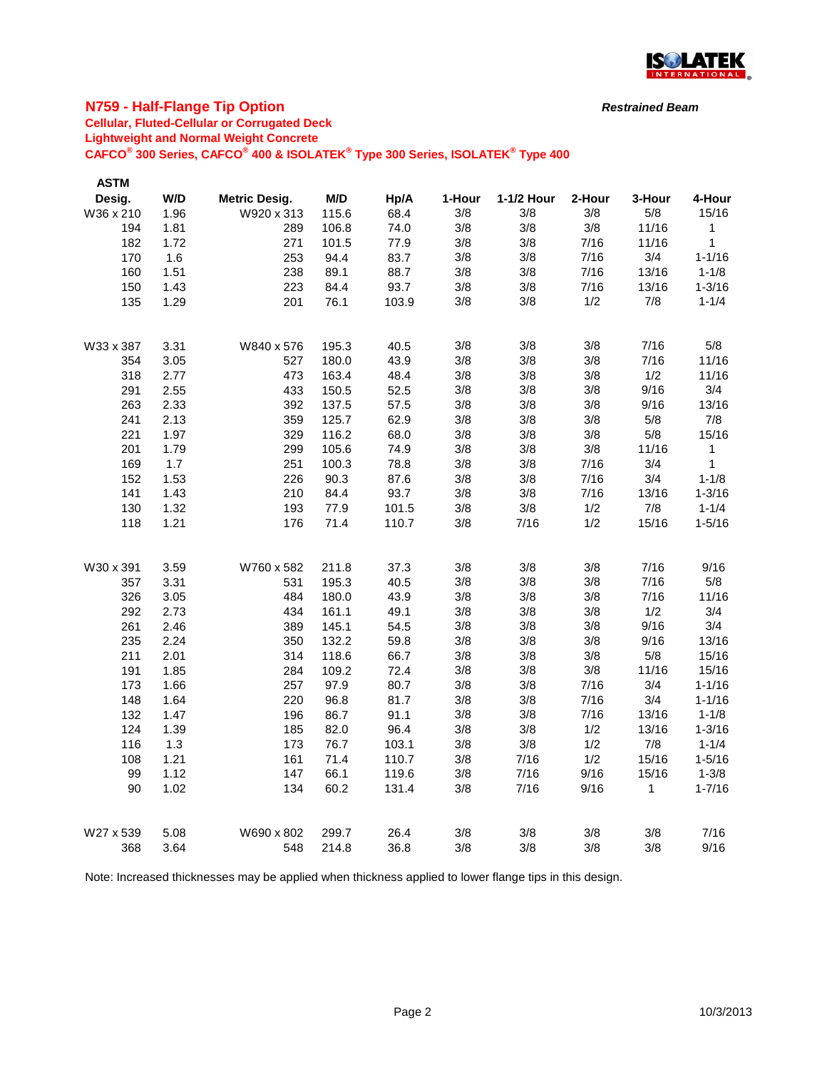

### **N759 - Half-Flange Tip Option**

# **Cellular, Fluted-Cellular or Corrugated Deck**

**Lightweight and Normal Weight Concrete**

**CAFCO® 300 Series, CAFCO® 400 & ISOLATEK® Type 300 Series, ISOLATEK® Type 400**

| <b>ASTM</b> |      |                      |       |       |        |            |        |        |              |
|-------------|------|----------------------|-------|-------|--------|------------|--------|--------|--------------|
| Desig.      | W/D  | <b>Metric Desig.</b> | M/D   | Hp/A  | 1-Hour | 1-1/2 Hour | 2-Hour | 3-Hour | 4-Hour       |
| W36 x 210   | 1.96 | W920 x 313           | 115.6 | 68.4  | 3/8    | 3/8        | 3/8    | 5/8    | 15/16        |
| 194         | 1.81 | 289                  | 106.8 | 74.0  | 3/8    | 3/8        | 3/8    | 11/16  | 1            |
| 182         | 1.72 | 271                  | 101.5 | 77.9  | 3/8    | 3/8        | 7/16   | 11/16  | $\mathbf 1$  |
| 170         | 1.6  | 253                  | 94.4  | 83.7  | 3/8    | 3/8        | 7/16   | 3/4    | $1 - 1/16$   |
| 160         | 1.51 | 238                  | 89.1  | 88.7  | 3/8    | 3/8        | 7/16   | 13/16  | $1 - 1/8$    |
| 150         | 1.43 | 223                  | 84.4  | 93.7  | 3/8    | 3/8        | 7/16   | 13/16  | $1 - 3/16$   |
| 135         | 1.29 | 201                  | 76.1  | 103.9 | 3/8    | 3/8        | 1/2    | 7/8    | $1 - 1/4$    |
| W33 x 387   | 3.31 | W840 x 576           | 195.3 | 40.5  | 3/8    | 3/8        | 3/8    | 7/16   | 5/8          |
| 354         | 3.05 | 527                  | 180.0 | 43.9  | 3/8    | 3/8        | 3/8    | 7/16   | 11/16        |
| 318         | 2.77 | 473                  | 163.4 | 48.4  | 3/8    | 3/8        | 3/8    | 1/2    | 11/16        |
| 291         | 2.55 | 433                  | 150.5 | 52.5  | 3/8    | 3/8        | 3/8    | 9/16   | 3/4          |
| 263         | 2.33 | 392                  | 137.5 | 57.5  | 3/8    | 3/8        | 3/8    | 9/16   | 13/16        |
| 241         | 2.13 | 359                  | 125.7 | 62.9  | 3/8    | 3/8        | 3/8    | 5/8    | 7/8          |
| 221         | 1.97 | 329                  | 116.2 | 68.0  | 3/8    | 3/8        | 3/8    | 5/8    | 15/16        |
| 201         | 1.79 | 299                  | 105.6 | 74.9  | 3/8    | 3/8        | 3/8    | 11/16  | $\mathbf{1}$ |
| 169         | 1.7  | 251                  | 100.3 | 78.8  | 3/8    | 3/8        | 7/16   | 3/4    | $\mathbf{1}$ |
| 152         | 1.53 | 226                  | 90.3  | 87.6  | 3/8    | 3/8        | 7/16   | 3/4    | $1 - 1/8$    |
| 141         | 1.43 | 210                  | 84.4  | 93.7  | 3/8    | 3/8        | 7/16   | 13/16  | $1 - 3/16$   |
| 130         | 1.32 | 193                  | 77.9  | 101.5 | 3/8    | 3/8        | 1/2    | 7/8    | $1 - 1/4$    |
| 118         | 1.21 | 176                  | 71.4  | 110.7 | 3/8    | 7/16       | 1/2    | 15/16  | $1 - 5/16$   |
| W30 x 391   | 3.59 | W760 x 582           | 211.8 | 37.3  | 3/8    | 3/8        | 3/8    | 7/16   | 9/16         |
| 357         | 3.31 | 531                  | 195.3 | 40.5  | 3/8    | 3/8        | 3/8    | 7/16   | 5/8          |
| 326         | 3.05 | 484                  | 180.0 | 43.9  | 3/8    | 3/8        | 3/8    | 7/16   | 11/16        |
| 292         | 2.73 | 434                  | 161.1 | 49.1  | 3/8    | 3/8        | 3/8    | 1/2    | 3/4          |
| 261         | 2.46 | 389                  | 145.1 | 54.5  | 3/8    | 3/8        | 3/8    | 9/16   | 3/4          |
| 235         | 2.24 | 350                  | 132.2 | 59.8  | 3/8    | 3/8        | 3/8    | 9/16   | 13/16        |
| 211         | 2.01 | 314                  | 118.6 | 66.7  | 3/8    | 3/8        | 3/8    | 5/8    | 15/16        |
| 191         | 1.85 | 284                  | 109.2 | 72.4  | 3/8    | 3/8        | 3/8    | 11/16  | 15/16        |
| 173         | 1.66 | 257                  | 97.9  | 80.7  | 3/8    | 3/8        | 7/16   | 3/4    | $1 - 1/16$   |
| 148         | 1.64 | 220                  | 96.8  | 81.7  | 3/8    | 3/8        | 7/16   | 3/4    | $1 - 1/16$   |
| 132         | 1.47 | 196                  | 86.7  | 91.1  | 3/8    | 3/8        | 7/16   | 13/16  | $1 - 1/8$    |
| 124         | 1.39 | 185                  | 82.0  | 96.4  | 3/8    | 3/8        | 1/2    | 13/16  | $1 - 3/16$   |
| 116         | 1.3  | 173                  | 76.7  | 103.1 | 3/8    | 3/8        | 1/2    | 7/8    | $1 - 1/4$    |
| 108         | 1.21 | 161                  | 71.4  | 110.7 | 3/8    | 7/16       | 1/2    | 15/16  | $1 - 5/16$   |
| 99          | 1.12 | 147                  | 66.1  | 119.6 | 3/8    | 7/16       | 9/16   | 15/16  | $1 - 3/8$    |
| 90          | 1.02 | 134                  | 60.2  | 131.4 | 3/8    | 7/16       | 9/16   | 1      | $1 - 7/16$   |
| W27 x 539   | 5.08 | W690 x 802           | 299.7 | 26.4  | 3/8    | 3/8        | 3/8    | 3/8    | 7/16         |
| 368         | 3.64 | 548                  | 214.8 | 36.8  | 3/8    | 3/8        | 3/8    | 3/8    | 9/16         |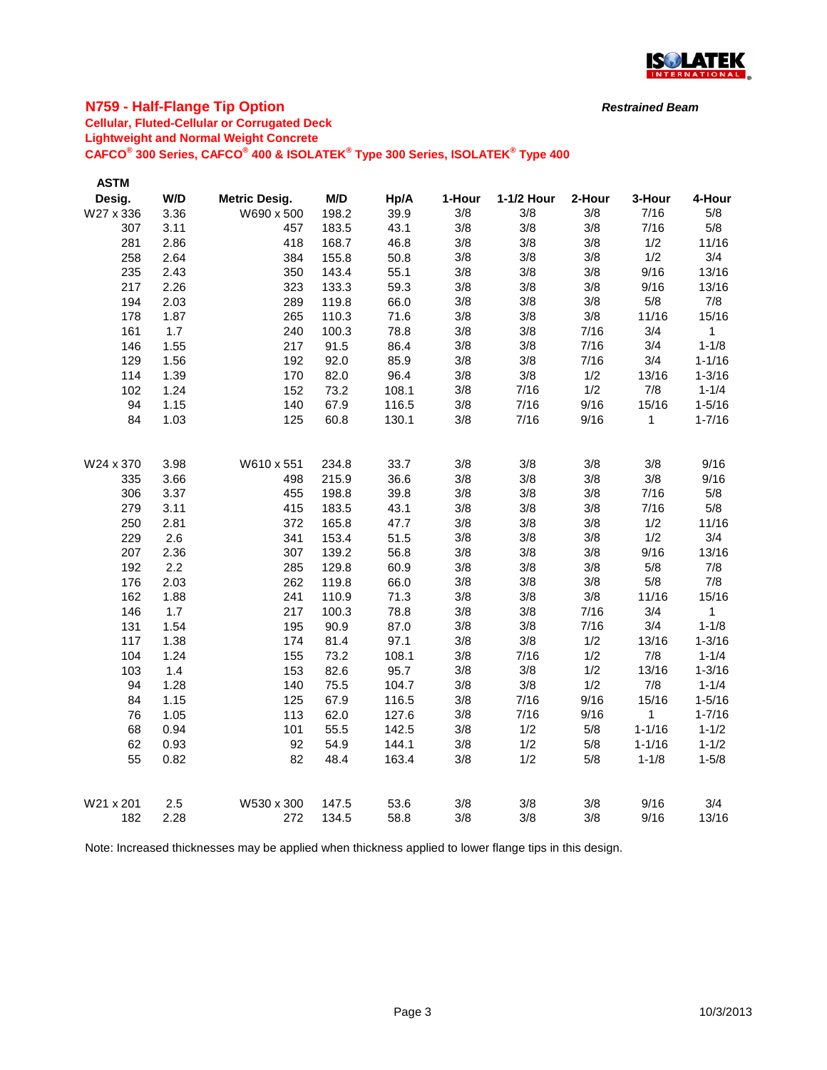

### **N759 - Half-Flange Tip Option**

# **Cellular, Fluted-Cellular or Corrugated Deck**

**Lightweight and Normal Weight Concrete**

**CAFCO® 300 Series, CAFCO® 400 & ISOLATEK® Type 300 Series, ISOLATEK® Type 400**

| <b>ASTM</b> |      |                      |       |       |        |            |        |              |              |
|-------------|------|----------------------|-------|-------|--------|------------|--------|--------------|--------------|
| Desig.      | W/D  | <b>Metric Desig.</b> | M/D   | Hp/A  | 1-Hour | 1-1/2 Hour | 2-Hour | 3-Hour       | 4-Hour       |
| W27 x 336   | 3.36 | W690 x 500           | 198.2 | 39.9  | 3/8    | 3/8        | 3/8    | 7/16         | 5/8          |
| 307         | 3.11 | 457                  | 183.5 | 43.1  | 3/8    | 3/8        | 3/8    | 7/16         | 5/8          |
| 281         | 2.86 | 418                  | 168.7 | 46.8  | 3/8    | 3/8        | 3/8    | 1/2          | 11/16        |
| 258         | 2.64 | 384                  | 155.8 | 50.8  | 3/8    | 3/8        | 3/8    | 1/2          | 3/4          |
| 235         | 2.43 | 350                  | 143.4 | 55.1  | 3/8    | 3/8        | 3/8    | 9/16         | 13/16        |
| 217         | 2.26 | 323                  | 133.3 | 59.3  | 3/8    | 3/8        | 3/8    | 9/16         | 13/16        |
| 194         | 2.03 | 289                  | 119.8 | 66.0  | 3/8    | 3/8        | 3/8    | 5/8          | 7/8          |
| 178         | 1.87 | 265                  | 110.3 | 71.6  | 3/8    | 3/8        | 3/8    | 11/16        | 15/16        |
| 161         | 1.7  | 240                  | 100.3 | 78.8  | 3/8    | 3/8        | 7/16   | 3/4          | 1            |
| 146         | 1.55 | 217                  | 91.5  | 86.4  | 3/8    | 3/8        | 7/16   | 3/4          | $1 - 1/8$    |
| 129         | 1.56 | 192                  | 92.0  | 85.9  | 3/8    | 3/8        | 7/16   | 3/4          | $1 - 1/16$   |
| 114         | 1.39 | 170                  | 82.0  | 96.4  | 3/8    | 3/8        | 1/2    | 13/16        | $1 - 3/16$   |
| 102         | 1.24 | 152                  | 73.2  | 108.1 | 3/8    | 7/16       | 1/2    | 7/8          | $1 - 1/4$    |
| 94          | 1.15 | 140                  | 67.9  | 116.5 | 3/8    | 7/16       | 9/16   | 15/16        | $1 - 5/16$   |
| 84          | 1.03 | 125                  | 60.8  | 130.1 | 3/8    | 7/16       | 9/16   | 1            | $1 - 7/16$   |
|             |      |                      |       |       |        |            |        |              |              |
| W24 x 370   | 3.98 | W610 x 551           | 234.8 | 33.7  | 3/8    | 3/8        | 3/8    | 3/8          | 9/16         |
| 335         | 3.66 | 498                  | 215.9 | 36.6  | 3/8    | 3/8        | 3/8    | 3/8          | 9/16         |
| 306         | 3.37 | 455                  | 198.8 | 39.8  | 3/8    | 3/8        | 3/8    | 7/16         | 5/8          |
| 279         | 3.11 | 415                  | 183.5 | 43.1  | 3/8    | 3/8        | 3/8    | 7/16         | $5/8$        |
| 250         | 2.81 | 372                  | 165.8 | 47.7  | 3/8    | 3/8        | 3/8    | 1/2          | 11/16        |
| 229         | 2.6  | 341                  | 153.4 | 51.5  | 3/8    | 3/8        | 3/8    | 1/2          | 3/4          |
| 207         | 2.36 | 307                  | 139.2 | 56.8  | 3/8    | 3/8        | 3/8    | 9/16         | 13/16        |
| 192         | 2.2  | 285                  | 129.8 | 60.9  | 3/8    | 3/8        | 3/8    | 5/8          | 7/8          |
| 176         | 2.03 | 262                  | 119.8 | 66.0  | 3/8    | 3/8        | 3/8    | 5/8          | 7/8          |
| 162         | 1.88 | 241                  | 110.9 | 71.3  | 3/8    | 3/8        | 3/8    | 11/16        | 15/16        |
| 146         | 1.7  | 217                  | 100.3 | 78.8  | 3/8    | 3/8        | 7/16   | 3/4          | $\mathbf{1}$ |
| 131         | 1.54 | 195                  | 90.9  | 87.0  | 3/8    | 3/8        | 7/16   | 3/4          | $1 - 1/8$    |
| 117         | 1.38 | 174                  | 81.4  | 97.1  | 3/8    | 3/8        | 1/2    | 13/16        | $1 - 3/16$   |
| 104         | 1.24 | 155                  | 73.2  | 108.1 | 3/8    | 7/16       | 1/2    | 7/8          | $1 - 1/4$    |
| 103         | 1.4  | 153                  | 82.6  | 95.7  | 3/8    | 3/8        | 1/2    | 13/16        | $1 - 3/16$   |
| 94          | 1.28 | 140                  | 75.5  | 104.7 | 3/8    | 3/8        | 1/2    | 7/8          | $1 - 1/4$    |
| 84          | 1.15 | 125                  | 67.9  | 116.5 | 3/8    | 7/16       | 9/16   | 15/16        | $1 - 5/16$   |
| 76          | 1.05 | 113                  | 62.0  | 127.6 | 3/8    | 7/16       | 9/16   | $\mathbf{1}$ | $1 - 7/16$   |
| 68          | 0.94 | 101                  | 55.5  | 142.5 | 3/8    | 1/2        | 5/8    | $1 - 1/16$   | $1 - 1/2$    |
| 62          | 0.93 | 92                   | 54.9  | 144.1 | 3/8    | 1/2        | 5/8    | $1 - 1/16$   | $1 - 1/2$    |
| 55          | 0.82 | 82                   | 48.4  | 163.4 | 3/8    | 1/2        | 5/8    | $1 - 1/8$    | $1 - 5/8$    |
|             |      |                      |       |       |        |            |        |              |              |
| W21 x 201   | 2.5  | W530 x 300           | 147.5 | 53.6  | 3/8    | 3/8        | 3/8    | 9/16         | 3/4          |
| 182         | 2.28 | 272                  | 134.5 | 58.8  | 3/8    | 3/8        | 3/8    | 9/16         | 13/16        |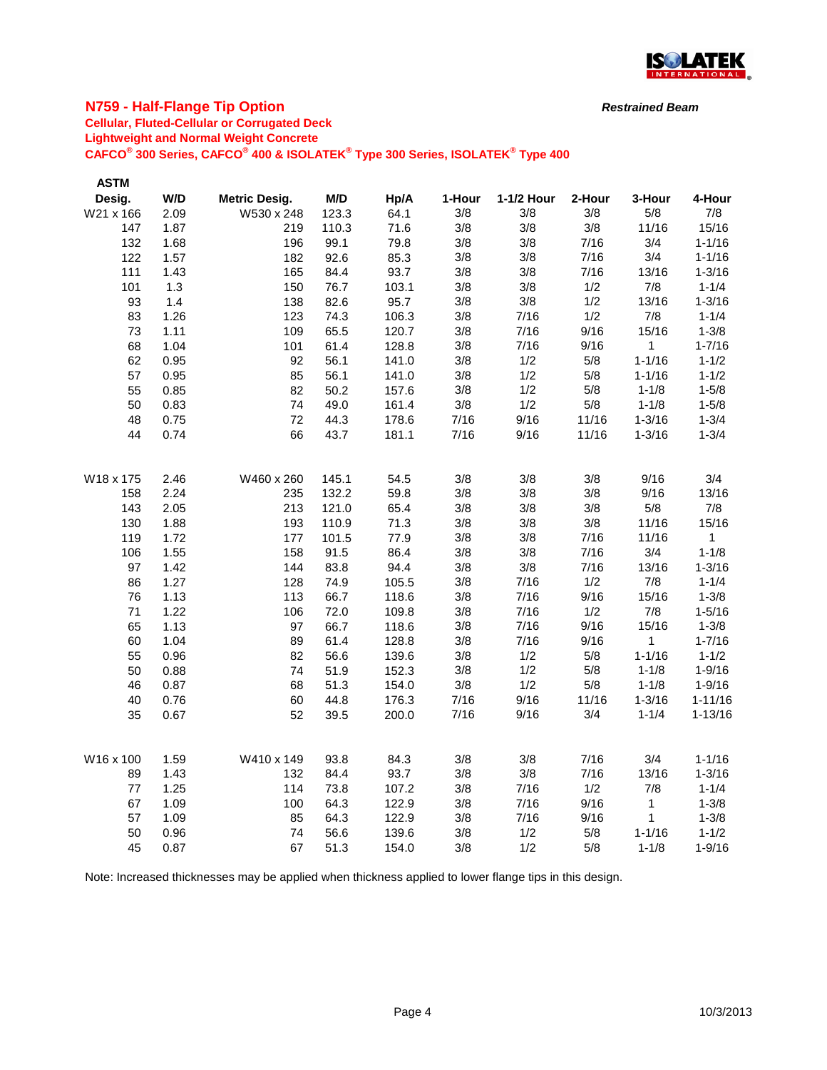

### **N759 - Half-Flange Tip Option**

# **Cellular, Fluted-Cellular or Corrugated Deck**

**Lightweight and Normal Weight Concrete**

**CAFCO® 300 Series, CAFCO® 400 & ISOLATEK® Type 300 Series, ISOLATEK® Type 400**

| <b>ASTM</b> |      |                      |       |                |        |            |        |            |             |
|-------------|------|----------------------|-------|----------------|--------|------------|--------|------------|-------------|
| Desig.      | W/D  | <b>Metric Desig.</b> | M/D   | Hp/A           | 1-Hour | 1-1/2 Hour | 2-Hour | 3-Hour     | 4-Hour      |
| W21 x 166   | 2.09 | W530 x 248           | 123.3 | 64.1           | 3/8    | 3/8        | 3/8    | 5/8        | 7/8         |
| 147         | 1.87 | 219                  | 110.3 | 71.6           | 3/8    | 3/8        | 3/8    | 11/16      | 15/16       |
| 132         | 1.68 | 196                  | 99.1  | 79.8           | 3/8    | 3/8        | 7/16   | 3/4        | $1 - 1/16$  |
| 122         | 1.57 | 182                  | 92.6  | 85.3           | 3/8    | 3/8        | 7/16   | 3/4        | $1 - 1/16$  |
| 111         | 1.43 | 165                  | 84.4  | 93.7           | 3/8    | 3/8        | 7/16   | 13/16      | $1 - 3/16$  |
| 101         | 1.3  | 150                  | 76.7  | 103.1          | 3/8    | 3/8        | 1/2    | 7/8        | $1 - 1/4$   |
| 93          | 1.4  | 138                  | 82.6  | 95.7           | 3/8    | 3/8        | 1/2    | 13/16      | $1 - 3/16$  |
| 83          | 1.26 | 123                  | 74.3  | 106.3          | 3/8    | 7/16       | 1/2    | 7/8        | $1 - 1/4$   |
| 73          | 1.11 | 109                  | 65.5  | 120.7          | 3/8    | 7/16       | 9/16   | 15/16      | $1 - 3/8$   |
| 68          | 1.04 | 101                  | 61.4  | 128.8          | 3/8    | 7/16       | 9/16   | 1          | $1 - 7/16$  |
| 62          | 0.95 | 92                   | 56.1  | 141.0          | 3/8    | 1/2        | 5/8    | $1 - 1/16$ | $1 - 1/2$   |
| 57          | 0.95 | 85                   | 56.1  | 141.0          | 3/8    | 1/2        | 5/8    | $1 - 1/16$ | $1 - 1/2$   |
| 55          | 0.85 | 82                   | 50.2  | 157.6          | 3/8    | 1/2        | 5/8    | $1 - 1/8$  | $1 - 5/8$   |
| 50          | 0.83 | 74                   | 49.0  | 161.4          | 3/8    | 1/2        | 5/8    | $1 - 1/8$  | $1 - 5/8$   |
| 48          | 0.75 | 72                   | 44.3  | 178.6          | 7/16   | 9/16       | 11/16  | $1 - 3/16$ | $1 - 3/4$   |
| 44          | 0.74 | 66                   | 43.7  | 181.1          | 7/16   | 9/16       | 11/16  | $1 - 3/16$ | $1 - 3/4$   |
|             |      |                      |       |                |        |            |        |            |             |
| W18 x 175   | 2.46 | W460 x 260           | 145.1 | 54.5           | 3/8    | 3/8        | 3/8    | 9/16       | 3/4         |
| 158         | 2.24 | 235                  | 132.2 | 59.8           | 3/8    | 3/8        | 3/8    | 9/16       | 13/16       |
| 143         | 2.05 | 213                  | 121.0 | 65.4           | 3/8    | 3/8        | 3/8    | 5/8        | 7/8         |
| 130         | 1.88 | 193                  | 110.9 | 71.3           | 3/8    | 3/8        | 3/8    | 11/16      | 15/16       |
| 119         | 1.72 | 177                  | 101.5 | 77.9           | 3/8    | 3/8        | 7/16   | 11/16      | 1           |
| 106         | 1.55 | 158                  | 91.5  | 86.4           | 3/8    | 3/8        | 7/16   | 3/4        | $1 - 1/8$   |
| 97          | 1.42 | 144                  | 83.8  | 94.4           | 3/8    | 3/8        | 7/16   | 13/16      | $1 - 3/16$  |
| 86          | 1.27 | 128                  | 74.9  | 105.5          | 3/8    | 7/16       | 1/2    | 7/8        | $1 - 1/4$   |
| 76          | 1.13 | 113                  | 66.7  | 118.6          | 3/8    | 7/16       | 9/16   | 15/16      | $1 - 3/8$   |
| 71          | 1.22 | 106                  | 72.0  | 109.8          | 3/8    | 7/16       | 1/2    | 7/8        | $1 - 5/16$  |
| 65          | 1.13 | 97                   | 66.7  | 118.6          | 3/8    | 7/16       | 9/16   | 15/16      | $1 - 3/8$   |
| 60          | 1.04 | 89                   | 61.4  | 128.8          | 3/8    | 7/16       | 9/16   | 1          | $1 - 7/16$  |
| 55          | 0.96 | 82                   | 56.6  | 139.6          | 3/8    | 1/2        | 5/8    | $1 - 1/16$ | $1 - 1/2$   |
| 50          | 0.88 | 74                   | 51.9  | 152.3          | 3/8    | 1/2        | 5/8    | $1 - 1/8$  | $1 - 9/16$  |
| 46          | 0.87 | 68                   | 51.3  | 154.0          | 3/8    | 1/2        | 5/8    | $1 - 1/8$  | $1 - 9/16$  |
| 40          | 0.76 | 60                   | 44.8  | 176.3          | 7/16   | 9/16       | 11/16  | $1 - 3/16$ | $1 - 11/16$ |
| 35          | 0.67 | 52                   | 39.5  | 200.0          | 7/16   | 9/16       | 3/4    | $1 - 1/4$  | $1 - 13/16$ |
| W16 x 100   | 1.59 | W410 x 149           | 93.8  | 84.3           | 3/8    | 3/8        | 7/16   | 3/4        | $1 - 1/16$  |
| 89          | 1.43 | 132                  | 84.4  | 93.7           | 3/8    | 3/8        | 7/16   | 13/16      | $1 - 3/16$  |
| 77          | 1.25 | 114                  | 73.8  | 107.2          | 3/8    | 7/16       | 1/2    | 7/8        | $1 - 1/4$   |
| 67          | 1.09 | 100                  | 64.3  | 122.9          | 3/8    | 7/16       | 9/16   | 1          | $1 - 3/8$   |
| 57          | 1.09 | 85                   | 64.3  |                | 3/8    | 7/16       | 9/16   | 1          | $1 - 3/8$   |
| 50          | 0.96 | 74                   | 56.6  | 122.9<br>139.6 | 3/8    | 1/2        | 5/8    | $1 - 1/16$ | $1 - 1/2$   |
| 45          | 0.87 | 67                   | 51.3  | 154.0          | 3/8    | 1/2        | 5/8    | $1 - 1/8$  | $1 - 9/16$  |
|             |      |                      |       |                |        |            |        |            |             |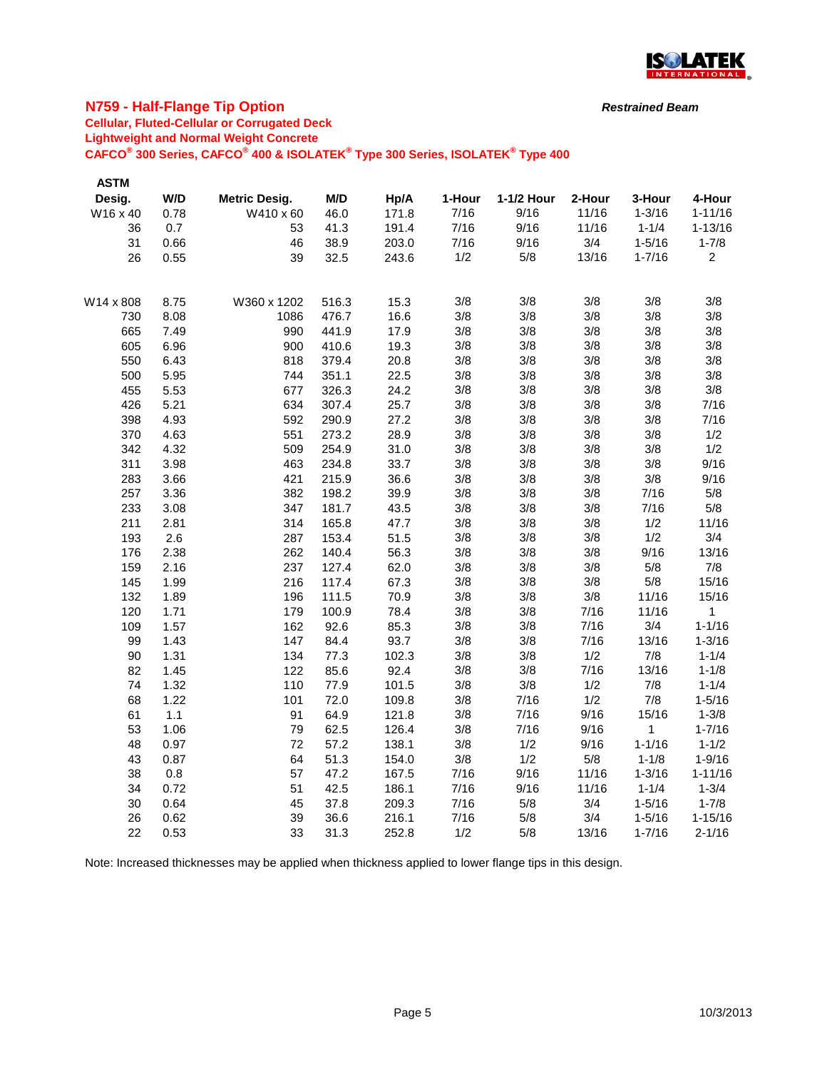

### **N759 - Half-Flange Tip Option**

## **Cellular, Fluted-Cellular or Corrugated Deck**

**Lightweight and Normal Weight Concrete**

**CAFCO® 300 Series, CAFCO® 400 & ISOLATEK® Type 300 Series, ISOLATEK® Type 400**

| <b>ASTM</b> |      |                      |       |       |        |            |        |            |                |
|-------------|------|----------------------|-------|-------|--------|------------|--------|------------|----------------|
| Desig.      | W/D  | <b>Metric Desig.</b> | M/D   | Hp/A  | 1-Hour | 1-1/2 Hour | 2-Hour | 3-Hour     | 4-Hour         |
| W16 x 40    | 0.78 | W410 x 60            | 46.0  | 171.8 | 7/16   | 9/16       | 11/16  | $1 - 3/16$ | $1 - 11/16$    |
| 36          | 0.7  | 53                   | 41.3  | 191.4 | 7/16   | 9/16       | 11/16  | $1 - 1/4$  | $1 - 13/16$    |
| 31          | 0.66 | 46                   | 38.9  | 203.0 | 7/16   | 9/16       | 3/4    | $1 - 5/16$ | $1 - 7/8$      |
| 26          | 0.55 | 39                   | 32.5  | 243.6 | 1/2    | 5/8        | 13/16  | $1 - 7/16$ | $\overline{c}$ |
| W14 x 808   | 8.75 | W360 x 1202          | 516.3 | 15.3  | 3/8    | 3/8        | 3/8    | 3/8        | 3/8            |
| 730         | 8.08 | 1086                 | 476.7 | 16.6  | 3/8    | 3/8        | 3/8    | 3/8        | 3/8            |
| 665         | 7.49 | 990                  | 441.9 | 17.9  | 3/8    | 3/8        | 3/8    | 3/8        | 3/8            |
| 605         | 6.96 | 900                  | 410.6 | 19.3  | 3/8    | 3/8        | 3/8    | 3/8        | 3/8            |
| 550         | 6.43 | 818                  | 379.4 | 20.8  | 3/8    | 3/8        | 3/8    | 3/8        | 3/8            |
| 500         | 5.95 | 744                  | 351.1 | 22.5  | 3/8    | 3/8        | 3/8    | 3/8        | 3/8            |
| 455         | 5.53 | 677                  | 326.3 | 24.2  | 3/8    | 3/8        | 3/8    | 3/8        | 3/8            |
| 426         | 5.21 | 634                  | 307.4 | 25.7  | 3/8    | 3/8        | 3/8    | 3/8        | 7/16           |
| 398         | 4.93 | 592                  | 290.9 | 27.2  | 3/8    | 3/8        | 3/8    | 3/8        | 7/16           |
| 370         | 4.63 | 551                  | 273.2 | 28.9  | 3/8    | 3/8        | 3/8    | 3/8        | 1/2            |
| 342         | 4.32 | 509                  | 254.9 | 31.0  | 3/8    | 3/8        | 3/8    | 3/8        | 1/2            |
| 311         | 3.98 | 463                  | 234.8 | 33.7  | 3/8    | 3/8        | 3/8    | 3/8        | 9/16           |
| 283         | 3.66 | 421                  | 215.9 | 36.6  | 3/8    | 3/8        | 3/8    | 3/8        | 9/16           |
| 257         | 3.36 | 382                  | 198.2 | 39.9  | 3/8    | 3/8        | 3/8    | 7/16       | 5/8            |
| 233         | 3.08 | 347                  | 181.7 | 43.5  | 3/8    | 3/8        | 3/8    | 7/16       | 5/8            |
| 211         | 2.81 | 314                  | 165.8 | 47.7  | 3/8    | 3/8        | 3/8    | 1/2        | 11/16          |
| 193         | 2.6  | 287                  | 153.4 | 51.5  | 3/8    | 3/8        | 3/8    | 1/2        | 3/4            |
| 176         | 2.38 | 262                  | 140.4 | 56.3  | 3/8    | 3/8        | 3/8    | 9/16       | 13/16          |
| 159         | 2.16 | 237                  | 127.4 | 62.0  | 3/8    | 3/8        | 3/8    | 5/8        | 7/8            |
| 145         | 1.99 | 216                  | 117.4 | 67.3  | 3/8    | 3/8        | 3/8    | 5/8        | 15/16          |
| 132         | 1.89 | 196                  | 111.5 | 70.9  | 3/8    | 3/8        | 3/8    | 11/16      | 15/16          |
| 120         | 1.71 | 179                  | 100.9 | 78.4  | 3/8    | 3/8        | 7/16   | 11/16      | 1              |
| 109         | 1.57 | 162                  | 92.6  | 85.3  | 3/8    | 3/8        | 7/16   | 3/4        | $1 - 1/16$     |
| 99          | 1.43 | 147                  | 84.4  | 93.7  | 3/8    | 3/8        | 7/16   | 13/16      | $1 - 3/16$     |
| 90          | 1.31 | 134                  | 77.3  | 102.3 | 3/8    | 3/8        | 1/2    | 7/8        | $1 - 1/4$      |
| 82          | 1.45 | 122                  | 85.6  | 92.4  | 3/8    | 3/8        | 7/16   | 13/16      | $1 - 1/8$      |
| 74          | 1.32 | 110                  | 77.9  | 101.5 | 3/8    | 3/8        | 1/2    | 7/8        | $1 - 1/4$      |
| 68          | 1.22 | 101                  | 72.0  | 109.8 | 3/8    | 7/16       | 1/2    | 7/8        | $1 - 5/16$     |
| 61          | 1.1  | 91                   | 64.9  | 121.8 | 3/8    | 7/16       | 9/16   | 15/16      | $1 - 3/8$      |
| 53          | 1.06 | 79                   | 62.5  | 126.4 | 3/8    | 7/16       | 9/16   | 1          | $1 - 7/16$     |
| 48          | 0.97 | 72                   | 57.2  | 138.1 | 3/8    | 1/2        | 9/16   | $1 - 1/16$ | $1 - 1/2$      |
| 43          | 0.87 | 64                   | 51.3  | 154.0 | 3/8    | 1/2        | $5/8$  | $1 - 1/8$  | $1 - 9/16$     |
| 38          | 0.8  | 57                   | 47.2  | 167.5 | 7/16   | 9/16       | 11/16  | $1 - 3/16$ | $1 - 11/16$    |
| 34          | 0.72 | 51                   | 42.5  | 186.1 | 7/16   | 9/16       | 11/16  | $1 - 1/4$  | $1 - 3/4$      |
| 30          | 0.64 | 45                   | 37.8  | 209.3 | 7/16   | 5/8        | 3/4    | $1 - 5/16$ | $1 - 7/8$      |
| 26          | 0.62 | 39                   | 36.6  | 216.1 | 7/16   | 5/8        | 3/4    | $1 - 5/16$ | $1 - 15/16$    |
| 22          | 0.53 | 33                   | 31.3  | 252.8 | 1/2    | 5/8        | 13/16  | $1 - 7/16$ | $2 - 1/16$     |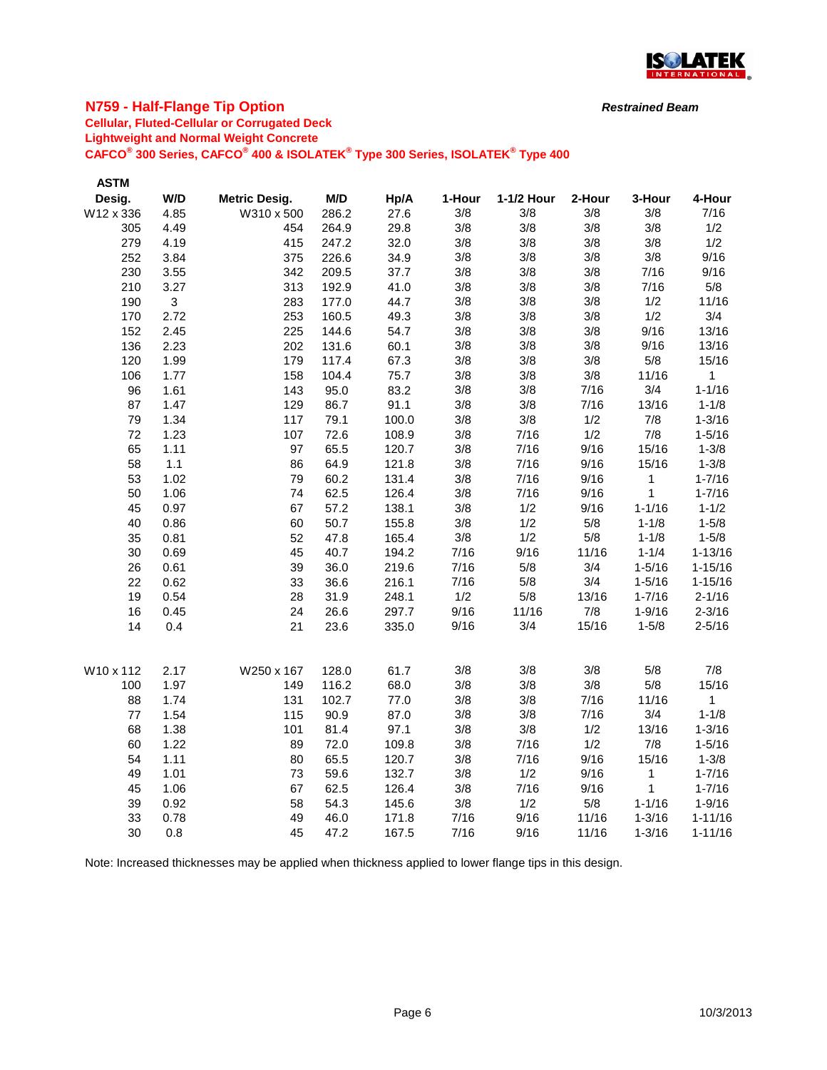

### **N759 - Half-Flange Tip Option**

# **Cellular, Fluted-Cellular or Corrugated Deck**

**Lightweight and Normal Weight Concrete**

**CAFCO® 300 Series, CAFCO® 400 & ISOLATEK® Type 300 Series, ISOLATEK® Type 400**

| <b>ASTM</b> |              |                      |       |       |        |            |        |             |              |
|-------------|--------------|----------------------|-------|-------|--------|------------|--------|-------------|--------------|
| Desig.      | W/D          | <b>Metric Desig.</b> | M/D   | Hp/A  | 1-Hour | 1-1/2 Hour | 2-Hour | 3-Hour      | 4-Hour       |
| W12 x 336   | 4.85         | W310 x 500           | 286.2 | 27.6  | 3/8    | 3/8        | 3/8    | 3/8         | 7/16         |
| 305         | 4.49         | 454                  | 264.9 | 29.8  | 3/8    | 3/8        | 3/8    | 3/8         | 1/2          |
| 279         | 4.19         | 415                  | 247.2 | 32.0  | 3/8    | 3/8        | 3/8    | 3/8         | 1/2          |
| 252         | 3.84         | 375                  | 226.6 | 34.9  | 3/8    | 3/8        | 3/8    | 3/8         | 9/16         |
| 230         | 3.55         | 342                  | 209.5 | 37.7  | 3/8    | 3/8        | 3/8    | 7/16        | 9/16         |
| 210         | 3.27         | 313                  | 192.9 | 41.0  | 3/8    | 3/8        | 3/8    | 7/16        | 5/8          |
| 190         | $\mathbf{3}$ | 283                  | 177.0 | 44.7  | 3/8    | 3/8        | 3/8    | 1/2         | 11/16        |
| 170         | 2.72         | 253                  | 160.5 | 49.3  | 3/8    | 3/8        | 3/8    | 1/2         | 3/4          |
| 152         | 2.45         | 225                  | 144.6 | 54.7  | 3/8    | 3/8        | 3/8    | 9/16        | 13/16        |
| 136         | 2.23         | 202                  | 131.6 | 60.1  | 3/8    | 3/8        | 3/8    | 9/16        | 13/16        |
| 120         | 1.99         | 179                  | 117.4 | 67.3  | 3/8    | 3/8        | 3/8    | 5/8         | 15/16        |
| 106         | 1.77         | 158                  | 104.4 | 75.7  | 3/8    | 3/8        | 3/8    | 11/16       | $\mathbf{1}$ |
| 96          | 1.61         | 143                  | 95.0  | 83.2  | 3/8    | 3/8        | 7/16   | 3/4         | $1 - 1/16$   |
| 87          | 1.47         | 129                  | 86.7  | 91.1  | 3/8    | 3/8        | 7/16   | 13/16       | $1 - 1/8$    |
| 79          | 1.34         | 117                  | 79.1  | 100.0 | 3/8    | 3/8        | 1/2    | 7/8         | $1 - 3/16$   |
| 72          | 1.23         | 107                  | 72.6  | 108.9 | 3/8    | 7/16       | 1/2    | 7/8         | $1 - 5/16$   |
| 65          | 1.11         | 97                   | 65.5  | 120.7 | 3/8    | 7/16       | 9/16   | 15/16       | $1 - 3/8$    |
| 58          | $1.1$        | 86                   | 64.9  | 121.8 | 3/8    | 7/16       | 9/16   | 15/16       | $1 - 3/8$    |
| 53          | 1.02         | 79                   | 60.2  | 131.4 | 3/8    | 7/16       | 9/16   | $\mathbf 1$ | $1 - 7/16$   |
| 50          | 1.06         | 74                   | 62.5  | 126.4 | 3/8    | 7/16       | 9/16   | $\mathbf 1$ | $1 - 7/16$   |
| 45          | 0.97         | 67                   | 57.2  | 138.1 | 3/8    | 1/2        | 9/16   | $1 - 1/16$  | $1 - 1/2$    |
| 40          | 0.86         | 60                   | 50.7  | 155.8 | 3/8    | 1/2        | 5/8    | $1 - 1/8$   | $1 - 5/8$    |
| 35          | 0.81         | 52                   | 47.8  | 165.4 | 3/8    | 1/2        | 5/8    | $1 - 1/8$   | $1 - 5/8$    |
| 30          | 0.69         | 45                   | 40.7  | 194.2 | 7/16   | 9/16       | 11/16  | $1 - 1/4$   | $1 - 13/16$  |
| 26          | 0.61         | 39                   | 36.0  | 219.6 | 7/16   | 5/8        | 3/4    | $1 - 5/16$  | $1 - 15/16$  |
| 22          | 0.62         | 33                   | 36.6  | 216.1 | 7/16   | 5/8        | 3/4    | $1 - 5/16$  | $1 - 15/16$  |
| 19          | 0.54         | 28                   | 31.9  | 248.1 | 1/2    | 5/8        | 13/16  | $1 - 7/16$  | $2 - 1/16$   |
| 16          | 0.45         | 24                   | 26.6  | 297.7 | 9/16   | 11/16      | 7/8    | $1 - 9/16$  | $2 - 3/16$   |
| 14          | 0.4          | 21                   | 23.6  | 335.0 | 9/16   | 3/4        | 15/16  | $1 - 5/8$   | $2 - 5/16$   |
| W10 x 112   | 2.17         | W250 x 167           | 128.0 | 61.7  | 3/8    | 3/8        | 3/8    | 5/8         | 7/8          |
| 100         | 1.97         | 149                  | 116.2 | 68.0  | 3/8    | 3/8        | 3/8    | 5/8         | 15/16        |
| 88          | 1.74         | 131                  | 102.7 | 77.0  | 3/8    | 3/8        | 7/16   | 11/16       | 1            |
| 77          | 1.54         | 115                  | 90.9  | 87.0  | 3/8    | 3/8        | 7/16   | 3/4         | $1 - 1/8$    |
| 68          | 1.38         | 101                  | 81.4  | 97.1  | 3/8    | 3/8        | 1/2    | 13/16       | $1 - 3/16$   |
| 60          | 1.22         | 89                   | 72.0  | 109.8 | 3/8    | 7/16       | 1/2    | 7/8         | $1 - 5/16$   |
| 54          | 1.11         | 80                   | 65.5  | 120.7 | 3/8    | 7/16       | 9/16   | 15/16       | $1 - 3/8$    |
| 49          | 1.01         | 73                   | 59.6  | 132.7 | 3/8    | 1/2        | 9/16   | 1           | $1 - 7/16$   |
| 45          | 1.06         | 67                   | 62.5  | 126.4 | 3/8    | 7/16       | 9/16   | 1           | $1 - 7/16$   |
| 39          | 0.92         | 58                   | 54.3  | 145.6 | 3/8    | 1/2        | 5/8    | $1 - 1/16$  | $1 - 9/16$   |
| 33          | 0.78         | 49                   | 46.0  | 171.8 | 7/16   | 9/16       | 11/16  | $1 - 3/16$  | $1 - 11/16$  |
| 30          | 0.8          | 45                   | 47.2  | 167.5 | 7/16   | 9/16       | 11/16  | $1 - 3/16$  | $1 - 11/16$  |